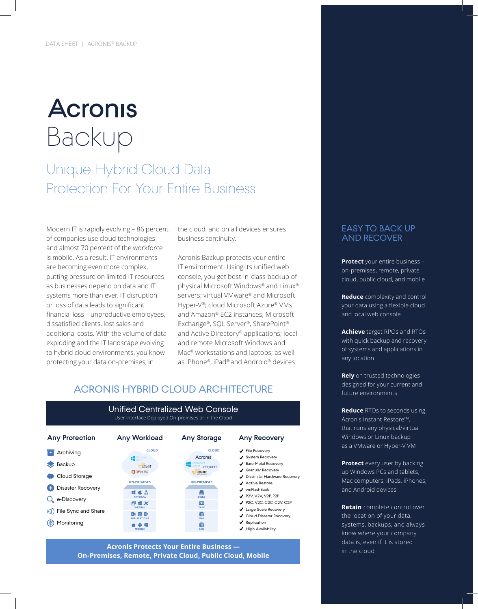# **Acronis** Backup

### Unique Hybrid Cloud Data Protection For Your Entire Business

Modern IT is rapidly evolving – 86 percent of companies use cloud technologies and almost 70 percent of the workforce is mobile. As a result, IT environments are becoming even more complex, putting pressure on limited IT resources as businesses depend on data and IT systems more than ever. IT disruption or loss of data leads to significant financial loss – unproductive employees, dissatisfied clients, lost sales and additional costs. With the volume of data exploding and the IT landscape evolving to hybrid cloud environments, you know protecting your data on-premises, in

the cloud, and on all devices ensures business continuity.

Acronis Backup protects your entire IT environment. Using its unified web console, you get best-in-class backup of physical Microsoft Windows® and Linux® servers; virtual VMware® and Microsoft Hyper-V®; cloud Microsoft Azure® VMs and Amazon® EC2 instances; Microsoft Exchange®, SQL Server®, SharePoint® and Active Directory® applications; local and remote Microsoft Windows and Mac® workstations and laptops; as well as iPhone®, iPad® and Android® devices.

#### ACRONIS HYBRID CLOUD ARCHITECTURE



#### Unified Centralized Web Console User Interface Deployed On-premises or in the Cloud

**Acronis Protects Your Entire Business — On-Premises, Remote, Private Cloud, Public Cloud, Mobile**

#### EASY TO BACK UP AND RECOVER

**Protect** your entire business – on-premises, remote, private cloud, public cloud, and mobile

**Reduce** complexity and control your data using a flexible cloud and local web console

**Achieve** target RPOs and RTOs with quick backup and recovery of systems and applications in any location

**Rely** on trusted technologies designed for your current and future environments

**Reduce** RTOs to seconds using Acronis Instant Restore™, that runs any physical/virtual Windows or Linux backup as a VMware or Hyper-V VM

**Protect** every user by backing up Windows PCs and tablets, Mac computers, iPads, iPhones, and Android devices

**Retain** complete control over the location of your data, systems, backups, and always know where your company data is, even if it is stored in the cloud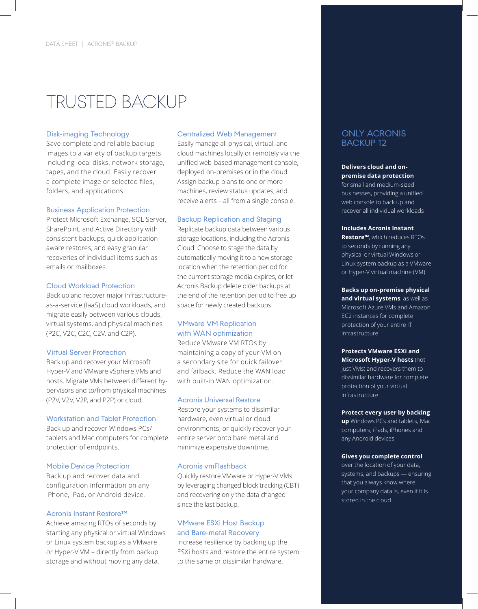# TRUSTED BACKUP

#### Disk-imaging Technology

Save complete and reliable backup images to a variety of backup targets including local disks, network storage, tapes, and the cloud. Easily recover a complete image or selected files, folders, and applications.

#### Business Application Protection

Protect Microsoft Exchange, SQL Server, SharePoint, and Active Directory with consistent backups, quick applicationaware restores, and easy granular recoveries of individual items such as emails or mailboxes.

#### Cloud Workload Protection

Back up and recover major infrastructureas-a-service (IaaS) cloud workloads, and migrate easily between various clouds, virtual systems, and physical machines (P2C, V2C, C2C, C2V, and C2P).

#### Virtual Server Protection

Back up and recover your Microsoft Hyper-V and VMware vSphere VMs and hosts. Migrate VMs between different hypervisors and to/from physical machines (P2V, V2V, V2P, and P2P) or cloud.

#### Workstation and Tablet Protection

Back up and recover Windows PCs/ tablets and Mac computers for complete protection of endpoints.

#### Mobile Device Protection

Back up and recover data and configuration information on any iPhone, iPad, or Android device.

#### Acronis Instant Restore™

Achieve amazing RTOs of seconds by starting any physical or virtual Windows or Linux system backup as a VMware or Hyper-V VM – directly from backup storage and without moving any data.

#### Centralized Web Management

Easily manage all physical, virtual, and cloud machines locally or remotely via the unified web-based management console, deployed on-premises or in the cloud. Assign backup plans to one or more machines, review status updates, and receive alerts – all from a single console.

#### Backup Replication and Staging

Replicate backup data between various storage locations, including the Acronis Cloud. Choose to stage the data by automatically moving it to a new storage location when the retention period for the current storage media expires, or let Acronis Backup delete older backups at the end of the retention period to free up space for newly created backups.

#### VMware VM Replication with WAN optimization

Reduce VMware VM RTOs by maintaining a copy of your VM on a secondary site for quick failover and failback. Reduce the WAN load with built-in WAN optimization.

#### Acronis Universal Restore

Restore your systems to dissimilar hardware, even virtual or cloud environments, or quickly recover your entire server onto bare metal and minimize expensive downtime.

#### Acronis vmFlashback

Quickly restore VMware or Hyper-V VMs by leveraging changed block tracking (CBT) and recovering only the data changed since the last backup.

#### VMware ESXi Host Backup and Bare-metal Recovery

Increase resilience by backing up the ESXi hosts and restore the entire system to the same or dissimilar hardware.

#### ONLY ACRONIS BACKUP 12

#### **Delivers cloud and onpremise data protection** for small and medium-sized

businesses, providing a unified web console to back up and recover all individual workloads

#### **Includes Acronis Instant**

**Restore™**, which reduces RTOs to seconds by running any physical or virtual Windows or Linux system backup as a VMware or Hyper-V virtual machine (VM)

#### **Backs up on-premise physical and virtual systems**, as well as Microsoft Azure VMs and Amazon EC2 instances for complete protection of your entire IT infrastructure

**Protects VMware ESXi and Microsoft Hyper-V hosts** (not just VMs) and recovers them to dissimilar hardware for complete protection of your virtual infrastructure

#### **Protect every user by backing**

**up** Windows PCs and tablets, Mac computers, iPads, iPhones and any Android devices

#### **Gives you complete control**

over the location of your data, systems, and backups — ensuring that you always know where your company data is, even if it is stored in the cloud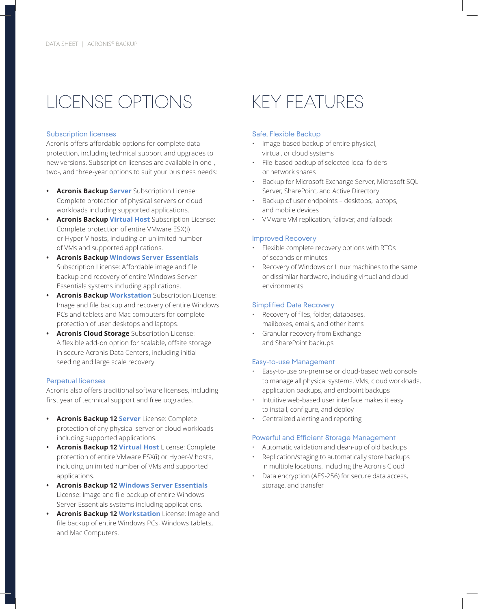# LICENSE OPTIONS

#### Subscription licenses

Acronis offers affordable options for complete data protection, including technical support and upgrades to new versions. Subscription licenses are available in one-, two-, and three-year options to suit your business needs:

- **• Acronis Backup Server** Subscription License: Complete protection of physical servers or cloud workloads including supported applications.
- **• Acronis Backup Virtual Host** Subscription License: Complete protection of entire VMware ESX(i) or Hyper-V hosts, including an unlimited number of VMs and supported applications.
- **• Acronis Backup Windows Server Essentials** Subscription License: Affordable image and file backup and recovery of entire Windows Server Essentials systems including applications.
- **• Acronis Backup Workstation** Subscription License: Image and file backup and recovery of entire Windows PCs and tablets and Mac computers for complete protection of user desktops and laptops.
- **• Acronis Cloud Storage** Subscription License: A flexible add-on option for scalable, offsite storage in secure Acronis Data Centers, including initial seeding and large scale recovery.

#### Perpetual licenses

Acronis also offers traditional software licenses, including first year of technical support and free upgrades.

- **• Acronis Backup 12 Server** License: Complete protection of any physical server or cloud workloads including supported applications.
- **• Acronis Backup 12 Virtual Host** License: Complete protection of entire VMware ESX(i) or Hyper-V hosts, including unlimited number of VMs and supported applications.
- **• Acronis Backup 12 Windows Server Essentials**  License: Image and file backup of entire Windows Server Essentials systems including applications.
- **• Acronis Backup 12 Workstation** License: Image and file backup of entire Windows PCs, Windows tablets, and Mac Computers.

## KEY FEATURES

#### Safe, Flexible Backup

- Image-based backup of entire physical, virtual, or cloud systems
- File-based backup of selected local folders or network shares
- Backup for Microsoft Exchange Server, Microsoft SQL Server, SharePoint, and Active Directory
- Backup of user endpoints desktops, laptops, and mobile devices
- VMware VM replication, failover, and failback

#### Improved Recovery

- Flexible complete recovery options with RTOs of seconds or minutes
- Recovery of Windows or Linux machines to the same or dissimilar hardware, including virtual and cloud environments

#### Simplified Data Recovery

- Recovery of files, folder, databases, mailboxes, emails, and other items
- Granular recovery from Exchange and SharePoint backups

#### Easy-to-use Management

- Easy-to-use on-premise or cloud-based web console to manage all physical systems, VMs, cloud workloads, application backups, and endpoint backups
- Intuitive web-based user interface makes it easy to install, configure, and deploy
- Centralized alerting and reporting

#### Powerful and Efficient Storage Management

- Automatic validation and clean-up of old backups
- Replication/staging to automatically store backups in multiple locations, including the Acronis Cloud
- Data encryption (AES-256) for secure data access, storage, and transfer